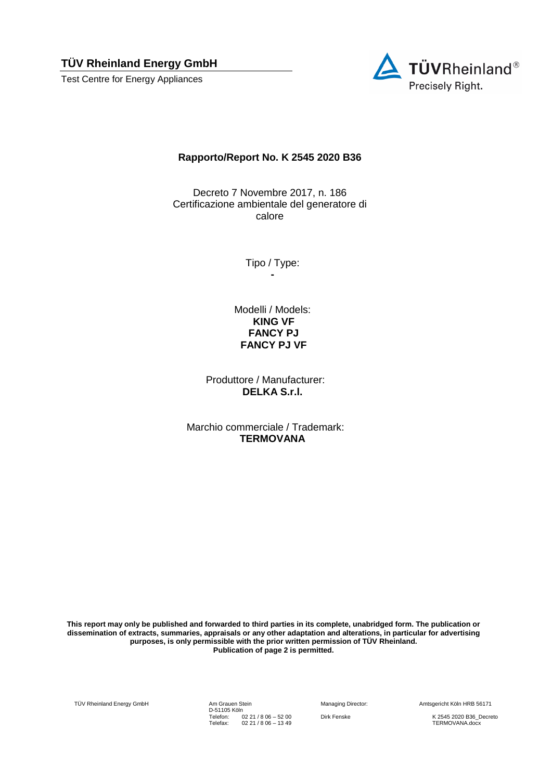**TÜV Rheinland Energy GmbH** 

Test Centre for Energy Appliances



## **Rapporto/Report No. K 2545 2020 B36**

Decreto 7 Novembre 2017, n. 186 Certificazione ambientale del generatore di calore

> Tipo / Type: **-**

Modelli / Models: **KING VF FANCY PJ FANCY PJ VF**

Produttore / Manufacturer: **DELKA S.r.l.**

Marchio commerciale / Trademark: **TERMOVANA**

**This report may only be published and forwarded to third parties in its complete, unabridged form. The publication or dissemination of extracts, summaries, appraisals or any other adaptation and alterations, in particular for advertising purposes, is only permissible with the prior written permission of TÜV Rheinland. Publication of page 2 is permitted.**

TÜV Rheinland Energy GmbH Am Grauen Stein

D-51105 Köln Telefon: Telefax: 02 21 / 8 06 – 52 00 02 21 / 8 06 – 13 49

Managing Director: Amtsgericht Köln HRB 56171

Dirk Fenske K 2545 2020 B36\_Decreto TERMOVANA.docx